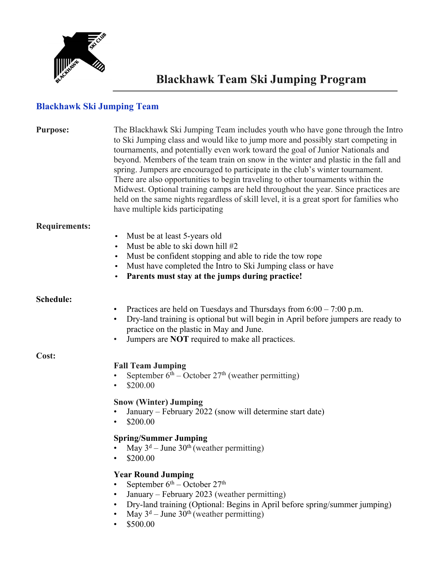

## **Blackhawk Ski Jumping Team**

| <b>Purpose:</b>      | The Blackhawk Ski Jumping Team includes youth who have gone through the Intro<br>to Ski Jumping class and would like to jump more and possibly start competing in<br>tournaments, and potentially even work toward the goal of Junior Nationals and<br>beyond. Members of the team train on snow in the winter and plastic in the fall and<br>spring. Jumpers are encouraged to participate in the club's winter tournament.<br>There are also opportunities to begin traveling to other tournaments within the<br>Midwest. Optional training camps are held throughout the year. Since practices are<br>held on the same nights regardless of skill level, it is a great sport for families who<br>have multiple kids participating |
|----------------------|--------------------------------------------------------------------------------------------------------------------------------------------------------------------------------------------------------------------------------------------------------------------------------------------------------------------------------------------------------------------------------------------------------------------------------------------------------------------------------------------------------------------------------------------------------------------------------------------------------------------------------------------------------------------------------------------------------------------------------------|
| <b>Requirements:</b> | Must be at least 5-years old<br>$\bullet$<br>Must be able to ski down hill #2<br>$\bullet$<br>Must be confident stopping and able to ride the tow rope<br>$\bullet$<br>Must have completed the Intro to Ski Jumping class or have<br>$\bullet$<br>Parents must stay at the jumps during practice!<br>$\bullet$                                                                                                                                                                                                                                                                                                                                                                                                                       |
| Schedule:            | Practices are held on Tuesdays and Thursdays from $6:00 - 7:00$ p.m.<br>٠<br>Dry-land training is optional but will begin in April before jumpers are ready to<br>$\bullet$<br>practice on the plastic in May and June.<br>Jumpers are NOT required to make all practices.<br>٠                                                                                                                                                                                                                                                                                                                                                                                                                                                      |
| Cost:                | <b>Fall Team Jumping</b><br>September $6th$ – October 27 <sup>th</sup> (weather permitting)<br>٠<br>\$200.00<br>$\bullet$<br><b>Snow (Winter) Jumping</b><br>January – February 2022 (snow will determine start date)<br>\$200.00<br>$\bullet$<br><b>Spring/Summer Jumping</b><br>May $3^d$ – June $30^{th}$ (weather permitting)                                                                                                                                                                                                                                                                                                                                                                                                    |
|                      | \$200.00<br><b>Year Round Jumping</b><br>September $6^{th}$ – October $27^{th}$<br>January - February 2023 (weather permitting)<br>٠<br>Dry-land training (Optional: Begins in April before spring/summer jumping)<br>$\bullet$<br>May $3^d$ – June $30^{th}$ (weather permitting)<br>\$500.00<br>٠                                                                                                                                                                                                                                                                                                                                                                                                                                  |